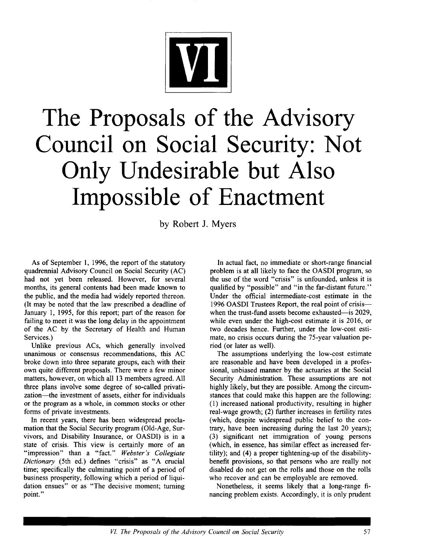

# **The Proposals of the Advisory Council on Social Security: Not Only Undesirable but Also Impossible of Enactment**

by Robert J. Myers

As of September 1, 1996, the report of the statutory quadrennial Advisory Council on Social Security (AC) had not yet been released. However, for several months, its general contents had been made known to the public, and the media had widely reported thereon. (It may be noted that the law prescribed a deadline of January 1, 1995, for this report; part of the reason for failing to meet it was the long delay in the appointment of the AC by the Secretary of Health and Human Services.)

Unlike previous ACs, which generally involved unanimous or consensus recommendations, this AC broke down into three separate groups, each with their own quite different proposals. There were a few minor matters, however, on which all 13 members agreed. All three plans involve some degree of so-called privatization--the investment of assets, either for individuals or the program as a whole, in common stocks or other forms of private investments.

In recent years, there has been widespread proclamation that the Social Security program (Old-Age, Survivors, and Disability Insurance, or OASDI) is in a state of crisis. This view is certainly more of an "impression" than a "fact." *Webster's Collegiate Dictionary* (5th ed.) defines "crisis" as "A crucial time; specifically the culminating point of a period of business prosperity, following which a period of liquidation ensues" or as "The decisive moment; turning point."

In actual fact, no immediate or short-range financial problem is at all likely to face the OASDI program, so the use of the word "crisis" is unfounded, unless it is qualified by "possible" and "in the far-distant future." Under the official intermediate-cost estimate in the 1996 OASDI Trustees Report, the real point of crisiswhen the trust-fund assets become exhausted--is 2029, while even under the high-cost estimate it is 2016, or two decades hence. Further, under the low-cost estimate, no crisis occurs during the 75-year valuation period (or later as well).

The assumptions underlying the low-cost estimate are reasonable and have been developed in a professional, unbiased manner by the actuaries at the Social Security Administration. These assumptions are not highly likely, but they are possible. Among the circumstances that could make this happen are the following: (1) increased national productivity, resulting in higher real-wage growth; (2) further increases in fertility rates (which, despite widespread public belief to the contrary, have been increasing during the last 20 years); (3) significant net immigration of young persons (which, in essence, has similar effect as increased fertility); and (4) a proper tightening-up of the disabilitybenefit provisions, so that persons who are really not disabled do not get on the rolls and those on the rolls who recover and can be employable are removed.

Nonetheless, it seems likely that a long-range financing problem exists. Accordingly, it is only prudent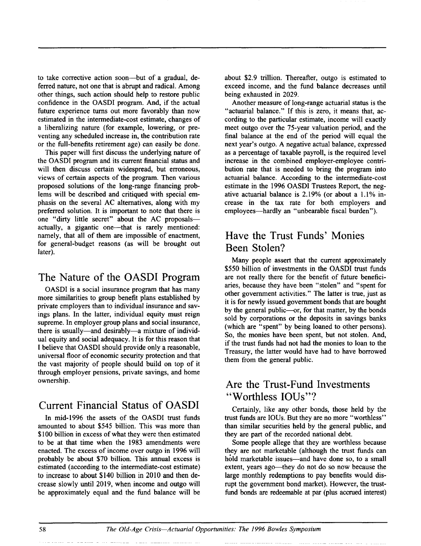to take corrective action soon--but of a gradual, deferred nature, not one that is abrupt and radical. Among other things, such action should help to restore public confidence in the OASDI program. And, if the actual future experience turns out more favorably than now estimated in the intermediate-cost estimate, changes of a liberalizing nature (for example, lowering, or preventing any scheduled increase in, the contribution rate or the full-benefits retirement age) can easily be done.

This paper will first discuss the underlying nature of the OASDI program and its current financial status and will then discuss certain widespread, but erroneous, views of certain aspects of the program. Then various proposed solutions of the long-range financing problems will be described and critiqued with special emphasis on the several AC alternatives, along with my preferred solution. It is important to note that there is one "dirty little secret" about the AC proposalsactually, a gigantic one—that is rarely mentioned: namely, that all of them are impossible of enactment, for general-budget reasons (as will be brought out later).

#### **The Nature of the OASDI Program**

OASDI is a social insurance program that has many more similarities to group benefit plans established by private employers than to individual insurance and savings plans. In the latter, individual equity must reign supreme. In employer group plans and social insurance, there is usually—and desirably—a mixture of individual equity and social adequacy. It is for this reason that I believe that OASDI should provide only a reasonable, universal floor of economic security protection and that the vast majority of people should build on top of it through employer pensions, private savings, and home ownership.

## **Current Financial Status of OASDI**

In mid-1996 the assets of the OASDI trust funds amounted to about \$545 billion. This was more than \$100 billion in excess of what they were then estimated to be at that time when the 1983 amendments were enacted. The excess of income over outgo in 1996 will probably be about \$70 billion. This annual excess is estimated (according to the intermediate-cost estimate) to increase to about \$140 billion in 2010 and then decrease slowly until 2019, when income and outgo will be approximately equal and the fund balance will be about \$2.9 trillion. Thereafter, outgo is estimated to exceed income, and the fund balance decreases until being exhausted in 2029.

Another measure of long-range actuarial status is the "actuarial balance." If this is zero, it means that, according to the particular estimate, income will exactly meet outgo over the 75-year valuation period, and the final balance at the end of the period will equal the next year's outgo. A negative actual balance, expressed as a percentage of taxable payroll, is the required level increase in the combined employer-employee contribution rate that is needed to bring the program into actuarial balance. According to the intermediate-cost estimate in the 1996 OASDI Trustees Report, the negative actuarial balance is 2.19% (or about a 1.1% increase in the tax rate for both employers and employees—hardly an "unbearable fiscal burden").

### **Have the Trust Funds' Monies Been Stolen?**

Many people assert that the current approximately \$550 billion of investments in the OASDI trust funds are not really there for the benefit of future beneficiaries, because they have been "stolen" and "spent for other government activities." The latter is true, just as it is for newly issued government bonds that are bought by the general public---or, for that matter, by the bonds sold by corporations or the deposits in savings banks (which are "spent" by being loaned to other persons). So, the monies have been spent, but not stolen. And, if the trust funds had not had the monies to loan to the Treasury, the latter would have had to have borrowed them from the general public.

#### Are the Trust-Fund Investments "Worthless IOUs"?

Certainly, like any other bonds, those held by the trust funds are IOUs. But they are no more "worthless" than similar securities held by the general public, and they are part of the recorded national debt.

Some people allege that they are worthless because they are not marketable (although the trust funds can hold marketable issues---and have done so, to a small extent, years ago-they do not do so now because the large monthly redemptions to pay benefits would disrupt the government bond market). However, the trustfund bonds are redeemable at par (plus accrued interest)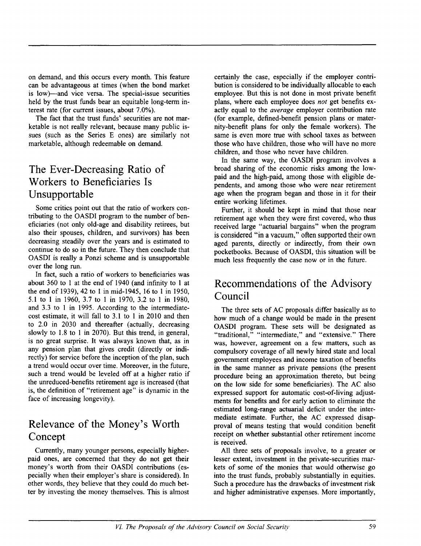on demand, and this occurs every month. This feature can be advantageous at times (when the bond market is low)—and vice versa. The special-issue securities held by the trust funds bear an equitable long-term interest rate (for current issues, about 7.0%).

The fact that the trust funds' securities are not marketable is not really relevant, because many public issues (such as the Series E ones) are similarly not marketable, although redeemable on demand.

## **The Ever-Decreasing Ratio of Workers to Beneficiaries Is Unsupportable**

Some critics point out that the ratio of workers contributing to the OASDI program to the number of beneficiaries (not only old-age and disability retirees, but also their spouses, children, and survivors) has been decreasing steadily over the years and is estimated to continue to do so in the future. They then conclude that OASDI is really a Ponzi scheme and is unsupportable over the long run.

In fact, such a ratio of workers to beneficiaries was about 360 to 1 at the end of 1940 (and infinity to 1 at the end of 1939), 42 to 1 in mid-1945, 16 to 1 in 1950, 5.1 to 1 in 1960, 3.7 to 1 in 1970, 3.2 to 1 in 1980, and 3.3 to 1 in 1995. According to the intermediatecost estimate, it will fall to 3.1 to 1 in 2010 and then to 2.0 in 2030 and thereafter (actually, decreasing slowly to 1.8 to 1 in 2070). But this trend, in general, is no great surprise. It was always known that, as in any pension plan that gives credit (directly or indirectly) for service before the inception of the plan, such a trend would occur over time. Moreover, in the future, such a trend would be leveled off at a higher ratio if the unreduced-benefits retirement age is increased (that is, the definition of "retirement age" is dynamic in the face of increasing longevity).

## **Relevance of the Money's Worth Concept**

Currently, many younger persons, especially higherpaid ones, are concerned that they do not get their money's worth from their OASDI contributions (especially when their employer's share is considered). In other words, they believe that they could do much better by investing the money themselves. This is almost

certainly the case, especially if the employer contribution is considered to be individually allocable to each employee. But this is not done in most private benefit plans, where each employee does *not* get benefits exactly equal to the *average* employer contribution rate (for example, defined-benefit pension plans or maternity-benefit plans for only the female workers). The same is even more true with school taxes as between those who have children, those who will have no more children, and those who never have children.

In the same way, the OASDI program involves a broad sharing of the economic risks among the lowpaid and the high-paid, among those with eligible dependents, and among those who were near retirement age when the program began and those in it for their entire working lifetimes.

Further, it should be kept in mind that those near retirement age when they were first covered, who thus received large "actuarial bargains" when the program is considered "in a vacuum," often supported their own aged parents, directly or indirectly, from their own pocketbooks. Because of OASDI, this situation will be much less frequently the case now or in the future.

## **Recommendations of the Advisory Council**

The three sets of AC proposals differ basically as to how much of a change would be made in the present OASDI program. These sets will be designated as "traditional," "intermediate," and "extensive." There was, however, agreement on a few matters, such as compulsory coverage of all newly hired state and local government employees and income taxation of benefits in the same manner as private pensions (the present procedure being an approximation thereto, but being on the low side for some beneficiaries). The AC also expressed support for automatic cost-of-living adjustments for benefits and for early action to eliminate the estimated long-range actuarial deficit under the intermediate estimate. Further, the AC expressed disapproval of means testing that would condition benefit receipt on whether substantial other retirement income is received.

All three sets of proposals involve, to a greater or lesser extent, investment in the private-securities markets of some of the monies that would otherwise go into the trust funds, probably substantially in equities. Such a procedure has the drawbacks of investment risk and higher administrative expenses. More importantly,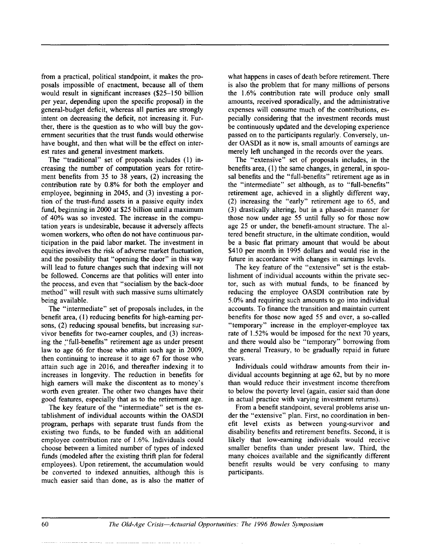from a practical, political standpoint, it makes the proposals impossible of enactment, because all of them would result in significant increases (\$25-150 billion per year, depending upon the specific proposal) in the general-budget deficit, whereas all parties are strongly intent on decreasing the deficit, not increasing it. Further, there is the question as to who will buy the government securities that the trust funds would otherwise have bought, and then what will be the effect on interest rates and general investment markets.

The "traditional" set of proposals includes (1) increasing the number of computation years for retirement benefits from 35 to 38 years, (2) increasing the contribution rate by 0.8% for both the employer and employee, beginning in 2045, and (3) investing a portion of the trust-fund assets in a passive equity index fund, beginning in 2000 at \$25 billion until a maximum of 40% was so invested. The increase in the computation years is undesirable, because it adversely affects women workers, who often do not have continuous participation in the paid labor market. The investment in equities involves the risk of adverse market fluctuation, and the possibility that "opening the door" in this way will lead to future changes such that indexing will not be followed. Concerns are that politics will enter into the process, and even that "socialism by the back-door method" will result with such massive sums ultimately being available.

The "intermediate" set of proposals includes, in the benefit area, (1) reducing benefits for high-earning persons, (2) reducing spousal benefits, but increasing survivor benefits for two-earner couples, and (3) increasing the "full-benefits" retirement age as under present law to age 66 for those who attain such age in 2009, then continuing to increase it to age 67 for those who attain such age in 2016, and thereafter indexing it to increases in longevity. The reduction in benefits for high earners will make the discontent as to money's worth even greater. The other two changes have their good features, especially that as to the retirement age.

The key feature of the "intermediate" set is the establishment of individual accounts within the OASDI program, perhaps with separate trust funds from the existing two funds, to be funded with an additional employee contribution rate of 1.6%. Individuals could choose between a limited number of types of indexed funds (modeled after the existing thrift plan for federal employees). Upon retirement, the accumulation would be converted to indexed annuities, although this is much easier said than done, as is also the matter of what happens in cases of death before retirement. There is also the problem that for many millions of persons the 1.6% contribution rate will produce only small amounts, received sporadically, and the administrative expenses will consume much of the contributions, especially considering that the investment records must be continuously updated and the developing experience passed on to the participants regularly. Conversely, under OASDI as it now is, small amounts of earnings are merely left unchanged in the records over the years.

The "extensive" set of proposals includes, in the benefits area, (1) the same changes, in general, in spousal benefits and the "full-benefits" retirement age as in the "intermediate" set although, as to "full-benefits" retirement age, achieved in a slightly different way, (2) increasing the "early" retirement age to 65, and (3) drastically altering, but in a phased-in manner for those now under age 55 until fully so for those now age 25 or under, the benefit-amount structure. The altered benefit structure, in the ultimate condition, would be a basic flat primary amount that would be about \$410 per month in 1995 dollars and would rise in the future in accordance with changes in earnings levels.

The key feature of the "extensive" set is the establishment of individual accounts within the private sector, such as with mutual funds, to be financed by reducing the employee OASDI contribution rate by 5.0% and requiring such amounts to go into individual accounts. To finance the transition and maintain current benefits for those now aged 55 and over, a so-called "temporary" increase in the employer-employee tax rate of 1.52% would be imposed for the next 70 years, and there would also be "temporary" borrowing from the general Treasury, to be gradually repaid in future years.

Individuals could withdraw amounts from their individual accounts beginning at age 62, but by no more than would reduce their investment income therefrom to below the poverty level (again, easier said than done in actual practice with varying investment returns).

From a benefit standpoint, several problems arise under the "extensive" plan. First, no coordination in benefit level exists as between young-survivor and disability benefits and retirement benefits. Second, it is likely that low-earning individuals would receive smaller benefits than under present law. Third, the many choices available and the significantly different benefit results would be very confusing to many participants.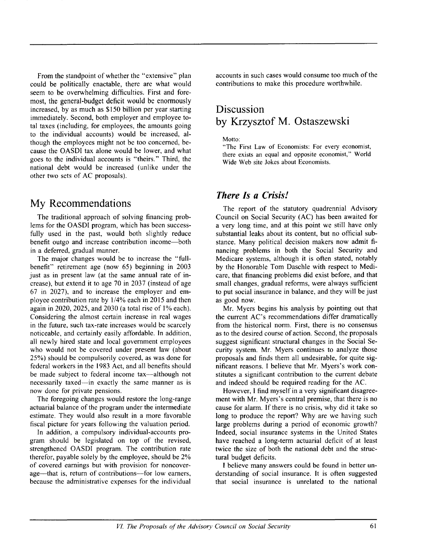From the standpoint of whether the "extensive" plan could be politically enactable, there are what would seem to be overwhelming difficulties. First and foremost, the general-budget deficit would be enormously increased, by as much as \$150 billion per year starting immediately. Second, both employer and employee total taxes (including, for employees, the amounts going to the individual accounts) would be increased, although the employees might not be too concerned, because the OASDI tax alone would be lower, and what goes to the individual accounts is "theirs." Third, the national debt would be increased (unlike under the other two sets of AC proposals).

#### **My Recommendations**

The traditional approach of solving financing problems for the OASDI program, which has been successfully used in the past, would both slightly reduce benefit outgo and increase contribution income--both in a deferred, gradual manner.

The major changes would be to increase the "fullbenefit" retirement age (now 65) beginning in 2003 just as in present law (at the same annual rate of increase), but extend it to age 70 in 2037 (instead of age 67 in 2027), and to increase the employer and employee contribution rate by 1/4% each in 2015 and then again in 2020, 2025, and 2030 (a total rise of 1% each). Considering the almost certain increase in real wages in the future, such tax-rate increases would be scarcely noticeable, and certainly easily affordable. In addition, all newly hired state and local government employees who would not be covered under present law (about 25%) should be compulsorily covered, as was done for federal workers in the 1983 Act, and all benefits should be made subject to federal income tax—although not necessarily taxed--in exactly the same manner as is now done for private pensions.

The foregoing changes would restore the long-range actuarial balance of the program under the intermediate estimate. They would also result in a more favorable fiscal picture for years following the valuation period.

In addition, a compulsory individual-accounts program should be legislated on top of the revised, strengthened OASDI program. The contribution rate therefor, payable solely by the employee, should be 2% of covered earnings but with provision for noncoverage—that is, return of contributions—for low earners, because the administrative expenses for the individual accounts in such cases would consume too much of the contributions to make this procedure worthwhile.

### **Discussion by Krzysztof M. Ostaszewski**

Motto:

"The First Law of Economists: For every economist, there exists an equal and opposite economist," World Wide Web site Jokes about Economists.

#### *There Is a Crisis!*

The report of the statutory quadrennial Advisory Council on Social Security (AC) has been awaited for a very long time, and at this point we still have only substantial leaks about its content, but no official substance. Many political decision makers now admit financing problems in both the Social Security and Medicare systems, although it is often stated, notably by the Honorable Tom Daschle with respect to Medicare, that financing problems did exist before, and that small changes, gradual reforms, were always sufficient to put social insurance in balance, and they will be just as good now.

Mr. Myers begins his analysis by pointing out that the current AC's recommendations differ dramatically from the historical norm. First, there is no consensus as to the desired course of action. Second, the proposals suggest significant structural changes in the Social Security system. Mr. Myers continues to analyze those proposals and finds them all undesirable, for quite significant reasons. I believe that Mr. Myers's work constitutes a significant contribution to the current debate and indeed should be required reading for the AC.

However, I find myself in a very significant disagreement with Mr. Myers's central premise, that there is no cause for alarm. If there is no crisis, why did it take so long to produce the report? Why are we having such large problems during a period of economic growth? Indeed, social insurance systems in the United States have reached a long-term actuarial deficit of at least twice the size of both the national debt and the structural budget deficits.

I believe many answers could be found in better understanding of social insurance. It is often suggested that social insurance is unrelated to the national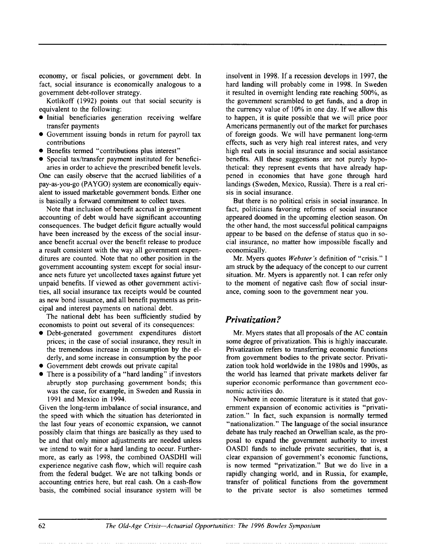economy, or fiscal policies, or government debt. In fact, social insurance is economically analogous to a government debt-rollover strategy.

Kotlikoff (1992) points out that social security is equivalent to the following:

- Initial beneficiaries generation receiving welfare transfer payments
- Government issuing bonds in return for payroll tax contributions
- Benefits termed "contributions plus interest"
- Special tax/transfer payment instituted for beneficiaries in order to achieve the prescribed benefit levels.

One can easily observe that the accrued liabilities of a pay-as-you-go (PAYGO) system are economically equivalent to issued marketable government bonds. Either one is basically a forward commitment to collect taxes.

Note that inclusion of benefit accrual in government accounting of debt would have significant accounting consequences. The budget deficit figure actually would have been increased by the excess of the social insurance benefit accrual over the benefit release to produce a result consistent with the way all government expenditures are counted. Note that no other position in the government accounting system except for social insurance nets future yet uncollected taxes against future yet unpaid benefits. If viewed as other government activities, all social insurance tax receipts would be counted as new bond issuance, and all benefit payments as principal and interest payments on national debt.

The national debt has been sufficiently studied by economists to point out several of its consequences:

- Debt-generated government expenditures distort prices; in the case of social insurance, they result in the tremendous increase in consumption by the elderly, and some increase in consumption by the poor
- Government debt crowds out private capital
- There is a possibility of a "hard landing" if investors abruptly stop purchasing government bonds; this was the case, for example, in Sweden and Russia in 1991 and Mexico in 1994.

Given the long-term imbalance of social insurance, and the speed with which the situation has deteriorated in the last four years of economic expansion, we cannot possibly claim that things are basically as they used to be and that only minor adjustments are needed unless we intend to wait for a hard landing to occur. Furthermore, as early as 1998, the combined OASDHI will experience negative cash flow, which will require cash from the federal budget. We are not talking bonds or accounting entries here, but real cash. On a cash-flow basis, the combined social insurance system will be insolvent in 1998. If a recession develops in 1997, the hard landing will probably come in 1998. In Sweden it resulted in overnight lending rate reaching 500%, as the government scrambled to get funds, and a drop in the currency value of 10% in one day. If we allow this to happen, it is quite possible that we will price poor Americans permanently out of the market for purchases of foreign goods. We will have permanent long-term effects, such as very high real interest rates, and very high real cuts in social insurance and social assistance benefits. All these suggestions are not purely hypothetical: they represent events that have already happened in economies that have gone through hard landings (Sweden, Mexico, Russia). There is a real crisis in social insurance.

But there is no political crisis in social insurance. In fact, politicians favoring reforms of social insurance appeared doomed in the upcoming election season. On the other hand, the most successful political campaigns appear to be based on the defense of status quo in social insurance, no matter how impossible fiscally and economically.

Mr. Myers quotes *Webster's* definition of "crisis." I am struck by the adequacy of the concept to our current situation. Mr. Myers is apparently not. I can refer only to the moment of negative cash flow of social insurance, coming soon to the government near you.

#### *Privatization ?*

Mr. Myers states that all proposals of the AC contain some degree of privatization. This is highly inaccurate. Privatization refers to transferring economic functions from government bodies to the private sector. Privatization took hold worldwide in the 1980s and 1990s, as the world has learned that private markets deliver far superior economic performance than government economic activities do.

Nowhere in economic literature is it stated that government expansion of economic activities is "privatization." In fact, such expansion is normally termed "nationalization." The language of the social insurance debate has truly reached an Orwellian scale, as the proposal to expand the government authority to invest OASDI funds to include private securities, that is, a clear expansion of government's economic functions, is now termed "privatization." But we do live in a rapidly changing world, and in Russia, for example, transfer of political functions from the government to the private sector is also sometimes termed